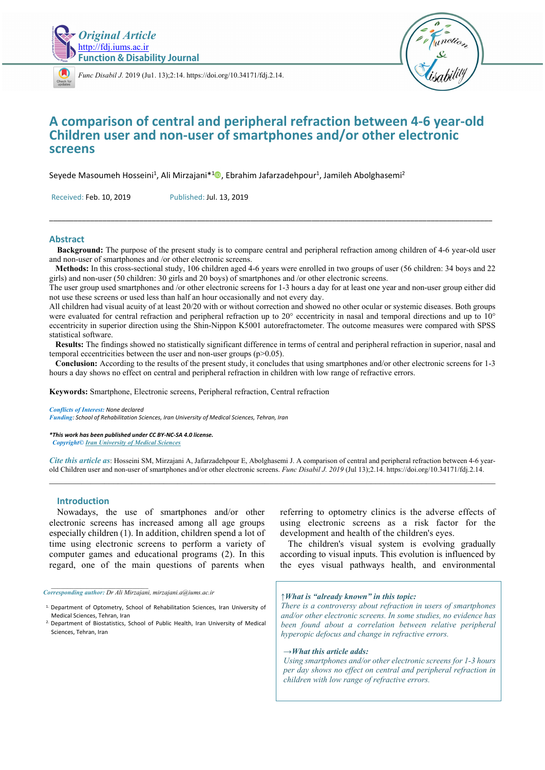

*[Func D](https://crossmark.crossref.org/dialog/?doi=10.34171/fdj.2.14)isabil J.* 2019 (Ju1. 13);2:14. https://doi.org/10.34171/fdj.2.14.



# **A comparison of central and peripheral refraction between 4-6 year-old Children user and non-user of smartphones and/or other electronic screens**

Seyede Masoumeh Hosseini<sup>1</sup>, Ali Mirzajani\*<sup>1</sup><sup>0</sup>, Ebrahim Jafarzadehpour<sup>1</sup>, Jamileh Abolghasemi<sup>2</sup>

Received: Feb. 10, 2019 Published: Jul. 13, 2019

#### **Abstract**

**Background:** The purpose of the present study is to compare central and peripheral refraction among children of 4-6 year-old user and non-user of smartphones and /or other electronic screens.

\_\_\_\_\_\_\_\_\_\_\_\_\_\_\_\_\_\_\_\_\_\_\_\_\_\_\_\_\_\_\_\_\_\_\_\_\_\_\_\_\_\_\_\_\_\_\_\_\_\_\_\_\_\_\_\_\_\_\_\_\_\_\_\_\_\_\_\_\_\_\_\_\_\_\_\_\_\_\_\_\_\_\_\_\_\_\_\_\_\_\_\_\_\_\_\_\_\_\_\_\_\_\_\_\_\_\_\_

 **Methods:** In this cross-sectional study, 106 children aged 4-6 years were enrolled in two groups of user (56 children: 34 boys and 22 girls) and non-user (50 children: 30 girls and 20 boys) of smartphones and /or other electronic screens.

The user group used smartphones and /or other electronic screens for 1-3 hours a day for at least one year and non-user group either did not use these screens or used less than half an hour occasionally and not every day.

All children had visual acuity of at least 20/20 with or without correction and showed no other ocular or systemic diseases. Both groups were evaluated for central refraction and peripheral refraction up to 20° eccentricity in nasal and temporal directions and up to 10° eccentricity in superior direction using the Shin-Nippon K5001 autorefractometer. The outcome measures were compared with SPSS statistical software.

 **Results:** The findings showed no statistically significant difference in terms of central and peripheral refraction in superior, nasal and temporal eccentricities between the user and non-user groups (p>0.05).

 **Conclusion:** According to the results of the present study, it concludes that using smartphones and/or other electronic screens for 1-3 hours a day shows no effect on central and peripheral refraction in children with low range of refractive errors.

**Keywords:** Smartphone, Electronic screens, Peripheral refraction, Central refraction

*Conflicts of Interest: None declared* 

*Funding: School of Rehabilitation Sciences, Iran University of Medical Sciences, Tehran, Iran* 

*\*This work has been published under CC BY-NC-SA 4.0 license. Copyright© Iran University of Medical Sciences* 

*Cite this article as*: Hosseini SM, Mirzajani A, Jafarzadehpour E, Abolghasemi J. A comparison of central and peripheral refraction between 4-6 yearold Children user and non-user of smartphones and/or other electronic screens. *Func Disabil J. 2019* (Jul 13);2.14. https://doi.org/10.34171/fdj.2.14.  $\_$  , and the state of the state of the state of the state of the state of the state of the state of the state of the state of the state of the state of the state of the state of the state of the state of the state of the

#### **Introduction**

Nowadays, the use of smartphones and/or other electronic screens has increased among all age groups especially children (1). In addition, children spend a lot of time using electronic screens to perform a variety of computer games and educational programs (2). In this regard, one of the main questions of parents when

*\_\_\_\_\_\_\_\_\_\_\_\_\_\_\_\_\_\_\_\_\_\_\_\_\_\_\_\_\_\_*

referring to optometry clinics is the adverse effects of using electronic screens as a risk factor for the development and health of the children's eyes.

The children's visual system is evolving gradually according to visual inputs. This evolution is influenced by the eyes visual pathways health, and environmental

*<sup>↑</sup>What is "already known" in this topic: There is a controversy about refraction in users of smartphones and/or other electronic screens. In some studies, no evidence has been found about a correlation between relative peripheral hyperopic defocus and change in refractive errors.* 

#### *→What this article adds:*

*Using smartphones and/or other electronic screens for 1-3 hours per day shows no effect on central and peripheral refraction in children with low range of refractive errors.* 

*Corresponding author: Dr Ali Mirzajani, mirzajani.a@iums.ac.ir* 

<sup>&</sup>lt;sup>1.</sup> Department of Optometry, School of Rehabilitation Sciences, Iran University of Medical Sciences, Tehran, Iran

<sup>2.</sup> Department of Biostatistics, School of Public Health, Iran University of Medical Sciences, Tehran, Iran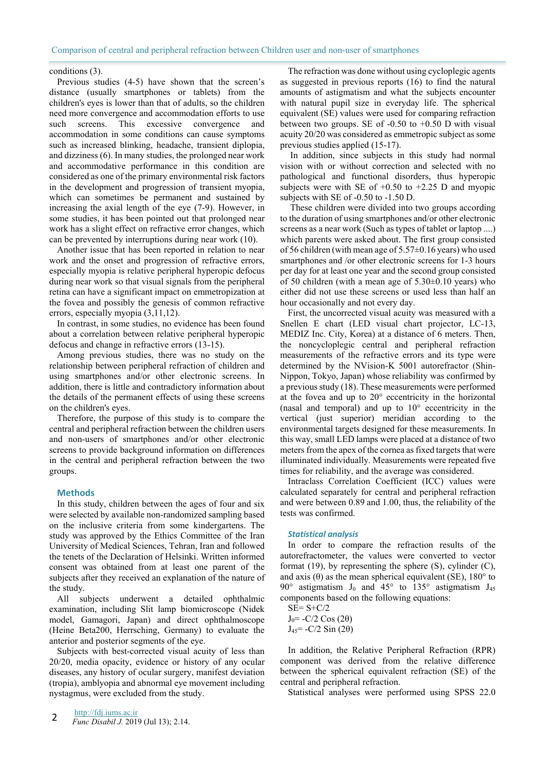### conditions (3).

Previous studies (4-5) have shown that the screen's distance (usually smartphones or tablets) from the children's eyes is lower than that of adults, so the children need more convergence and accommodation efforts to use such screens. This excessive convergence and accommodation in some conditions can cause symptoms such as increased blinking, headache, transient diplopia, and dizziness (6). In many studies, the prolonged near work and accommodative performance in this condition are considered as one of the primary environmental risk factors in the development and progression of transient myopia, which can sometimes be permanent and sustained by increasing the axial length of the eye (7-9). However, in some studies, it has been pointed out that prolonged near work has a slight effect on refractive error changes, which can be prevented by interruptions during near work (10).

Another issue that has been reported in relation to near work and the onset and progression of refractive errors, especially myopia is relative peripheral hyperopic defocus during near work so that visual signals from the peripheral retina can have a significant impact on emmetropization at the fovea and possibly the genesis of common refractive errors, especially myopia (3,11,12).

In contrast, in some studies, no evidence has been found about a correlation between relative peripheral hyperopic defocus and change in refractive errors (13-15).

Among previous studies, there was no study on the relationship between peripheral refraction of children and using smartphones and/or other electronic screens. In addition, there is little and contradictory information about the details of the permanent effects of using these screens on the children's eyes.

Therefore, the purpose of this study is to compare the central and peripheral refraction between the children users and non-users of smartphones and/or other electronic screens to provide background information on differences in the central and peripheral refraction between the two groups.

#### **Methods**

In this study, children between the ages of four and six were selected by available non-randomized sampling based on the inclusive criteria from some kindergartens. The study was approved by the Ethics Committee of the Iran University of Medical Sciences, Tehran, Iran and followed the tenets of the Declaration of Helsinki. Written informed consent was obtained from at least one parent of the subjects after they received an explanation of the nature of the study.

All subjects underwent a detailed ophthalmic examination, including Slit lamp biomicroscope (Nidek model, Gamagori, Japan) and direct ophthalmoscope (Heine Beta200, Herrsching, Germany) to evaluate the anterior and posterior segments of the eye.

Subjects with best-corrected visual acuity of less than 20/20, media opacity, evidence or history of any ocular diseases, any history of ocular surgery, manifest deviation (tropia), amblyopia and abnormal eye movement including nystagmus, were excluded from the study.

The refraction was done without using cycloplegic agents as suggested in previous reports (16) to find the natural amounts of astigmatism and what the subjects encounter with natural pupil size in everyday life. The spherical equivalent (SE) values were used for comparing refraction between two groups. SE of -0.50 to +0.50 D with visual acuity 20/20 was considered as emmetropic subject as some previous studies applied (15-17).

 In addition, since subjects in this study had normal vision with or without correction and selected with no pathological and functional disorders, thus hyperopic subjects were with SE of  $+0.50$  to  $+2.25$  D and myopic subjects with SE of -0.50 to -1.50 D.

 These children were divided into two groups according to the duration of using smartphones and/or other electronic screens as a near work (Such as types of tablet or laptop ....) which parents were asked about. The first group consisted of 56 children (with mean age of 5.57±0.16 years) who used smartphones and /or other electronic screens for 1-3 hours per day for at least one year and the second group consisted of 50 children (with a mean age of  $5.30\pm0.10$  years) who either did not use these screens or used less than half an hour occasionally and not every day.

First, the uncorrected visual acuity was measured with a Snellen E chart (LED visual chart projector, LC-13, MEDIZ Inc. City, Korea) at a distance of 6 meters. Then, the noncycloplegic central and peripheral refraction measurements of the refractive errors and its type were determined by the NVision-K 5001 autorefractor (Shin-Nippon, Tokyo, Japan) whose reliability was confirmed by a previous study (18). These measurements were performed at the fovea and up to 20° eccentricity in the horizontal (nasal and temporal) and up to  $10^{\circ}$  eccentricity in the vertical (just superior) meridian according to the environmental targets designed for these measurements. In this way, small LED lamps were placed at a distance of two meters from the apex of the cornea as fixed targets that were illuminated individually. Measurements were repeated five times for reliability, and the average was considered.

Intraclass Correlation Coefficient (ICC) values were calculated separately for central and peripheral refraction and were between 0.89 and 1.00, thus, the reliability of the tests was confirmed.

#### *Statistical analysis*

In order to compare the refraction results of the autorefractometer, the values were converted to vector format  $(19)$ , by representing the sphere  $(S)$ , cylinder  $(C)$ , and axis ( $\theta$ ) as the mean spherical equivalent (SE), 180 $\degree$  to 90° astigmatism  $J_0$  and 45° to 135° astigmatism  $J_{45}$ components based on the following equations:

 $SE= S+C/2$  $J_0$ = -C/2 Cos (2 $\theta$ )  $J_{45}$ = -C/2 Sin (2θ)

In addition, the Relative Peripheral Refraction (RPR) component was derived from the relative difference between the spherical equivalent refraction (SE) of the central and peripheral refraction.

Statistical analyses were performed using SPSS 22.0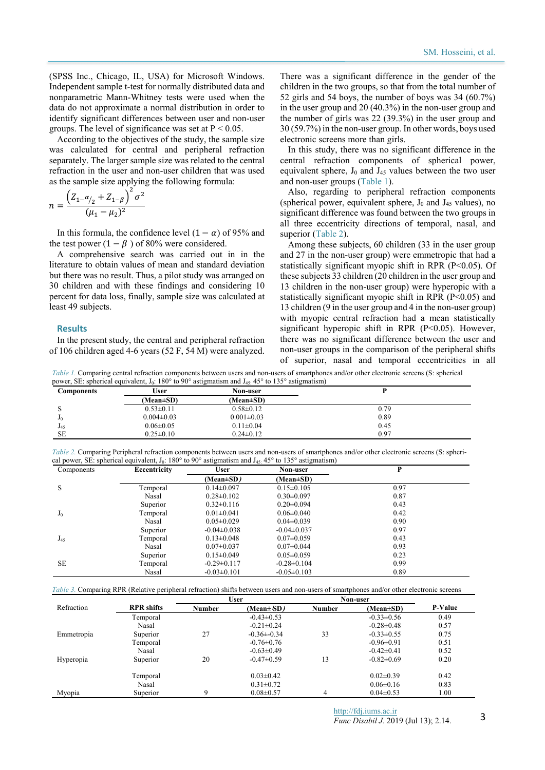(SPSS Inc., Chicago, IL, USA) for Microsoft Windows. Independent sample t-test for normally distributed data and nonparametric Mann-Whitney tests were used when the data do not approximate a normal distribution in order to identify significant differences between user and non-user groups. The level of significance was set at  $P < 0.05$ .

According to the objectives of the study, the sample size was calculated for central and peripheral refraction separately. The larger sample size was related to the central refraction in the user and non-user children that was used as the sample size applying the following formula:

$$
n = \frac{\left(Z_{1} - \alpha_{12} + Z_{1} - \beta\right)^2 \sigma^2}{(\mu_1 - \mu_2)^2}
$$

In this formula, the confidence level  $(1 - \alpha)$  of 95% and the test power  $(1 - \beta)$  of 80% were considered.

A comprehensive search was carried out in in the literature to obtain values of mean and standard deviation but there was no result. Thus, a pilot study was arranged on 30 children and with these findings and considering 10 percent for data loss, finally, sample size was calculated at least 49 subjects.

#### **Results**

In the present study, the central and peripheral refraction of 106 children aged 4-6 years (52 F, 54 M) were analyzed.

There was a significant difference in the gender of the children in the two groups, so that from the total number of 52 girls and 54 boys, the number of boys was 34 (60.7%) in the user group and 20 (40.3%) in the non-user group and the number of girls was 22 (39.3%) in the user group and 30 (59.7%) in the non-user group. In other words, boys used electronic screens more than girls.

In this study, there was no significant difference in the central refraction components of spherical power, equivalent sphere,  $J_0$  and  $J_{45}$  values between the two user and non-user groups (Table 1).

Also, regarding to peripheral refraction components (spherical power, equivalent sphere,  $J_0$  and  $J_{45}$  values), no significant difference was found between the two groups in all three eccentricity directions of temporal, nasal, and superior (Table 2).

Among these subjects, 60 children (33 in the user group and 27 in the non-user group) were emmetropic that had a statistically significant myopic shift in RPR (P<0.05). Of these subjects 33 children (20 children in the user group and 13 children in the non-user group) were hyperopic with a statistically significant myopic shift in RPR  $(P<0.05)$  and 13 children (9 in the user group and 4 in the non-user group) with myopic central refraction had a mean statistically significant hyperopic shift in RPR (P<0.05). However, there was no significant difference between the user and non-user groups in the comparison of the peripheral shifts of superior, nasal and temporal eccentricities in all

*Table 1.* Comparing central refraction components between users and non-users of smartphones and/or other electronic screens (S: spherical power, SE: spherical equivalent, J<sub>0</sub>: 180° to 90° astigmatism and J<sub>45</sub>: 45° to 135° astigmatism)

| <b>Components</b> | User             | Non-user         |      |
|-------------------|------------------|------------------|------|
|                   | $(Mean \pm SD)$  | (Mean±SD)        |      |
| Ω                 | $0.53 \pm 0.11$  | $0.58 \pm 0.12$  | 0.79 |
| J0                | $0.004 \pm 0.03$ | $0.001 \pm 0.03$ | 0.89 |
| $J_{45}$          | $0.06 \pm 0.05$  | $0.11 \pm 0.04$  | 0.45 |
| <b>SE</b>         | $0.25 \pm 0.10$  | $0.24 \pm 0.12$  | 0.97 |

*Table 2.* Comparing Peripheral refraction components between users and non-users of smartphones and/or other electronic screens (S: spherical power, SE: spherical equivalent, J<sub>0</sub>: 180 $\degree$  to 90 $\degree$  astigmatism and J<sub>45:</sub> 45 $\degree$  to 135 $\degree$  astigmatism)

| Components | Eccentricity | <b>User</b>       | Non-user          | P    |  |
|------------|--------------|-------------------|-------------------|------|--|
|            |              | (Mean±SD)         | (Mean±SD)         |      |  |
| S          | Temporal     | $0.14 \pm 0.097$  | $0.15 \pm 0.105$  | 0.97 |  |
|            | Nasal        | $0.28 \pm 0.102$  | $0.30 \pm 0.097$  | 0.87 |  |
|            | Superior     | $0.32 \pm 0.116$  | $0.20 \pm 0.094$  | 0.43 |  |
| $J_0$      | Temporal     | $0.01 \pm 0.041$  | $0.06 \pm 0.040$  | 0.42 |  |
|            | Nasal        | $0.05 \pm 0.029$  | $0.04 \pm 0.039$  | 0.90 |  |
|            | Superior     | $-0.04 \pm 0.038$ | $-0.04\pm0.037$   | 0.97 |  |
| $J_{45}$   | Temporal     | $0.13 \pm 0.048$  | $0.07 \pm 0.059$  | 0.43 |  |
|            | Nasal        | $0.07 \pm 0.037$  | $0.07 \pm 0.044$  | 0.93 |  |
|            | Superior     | $0.15 \pm 0.049$  | $0.05 \pm 0.059$  | 0.23 |  |
| <b>SE</b>  | Temporal     | $-0.29 \pm 0.117$ | $-0.28 \pm 0.104$ | 0.99 |  |
|            | Nasal        | $-0.03 \pm 0.101$ | $-0.05 \pm 0.103$ | 0.89 |  |

*Table 3.* Comparing RPR (Relative peripheral refraction) shifts between users and non-users of smartphones and/or other electronic screens

|            |                   | User   |                  | Non-user |                  |                |
|------------|-------------------|--------|------------------|----------|------------------|----------------|
| Refraction | <b>RPR</b> shifts | Number | $(Mean \pm SD)$  | Number   | $(Mean \pm SD)$  | <b>P-Value</b> |
|            | Temporal          |        | $-0.43 \pm 0.53$ |          | $-0.33 \pm 0.56$ | 0.49           |
|            | Nasal             |        | $-0.21 \pm 0.24$ |          | $-0.28 \pm 0.48$ | 0.57           |
| Emmetropia | Superior          | 27     | $-0.36 \pm 0.34$ | 33       | $-0.33 \pm 0.55$ | 0.75           |
|            | Temporal          |        | $-0.76 \pm 0.76$ |          | $-0.96 \pm 0.91$ | 0.51           |
|            | Nasal             |        | $-0.63 \pm 0.49$ |          | $-0.42\pm0.41$   | 0.52           |
| Hyperopia  | Superior          | 20     | $-0.47\pm0.59$   | 13       | $-0.82 \pm 0.69$ | 0.20           |
|            | Temporal          |        | $0.03 \pm 0.42$  |          | $0.02 \pm 0.39$  | 0.42           |
|            | Nasal             |        | $0.31 \pm 0.72$  |          | $0.06 \pm 0.16$  | 0.83           |
| Myopia     | Superior          | Q      | $0.08 \pm 0.57$  | 4        | $0.04 \pm 0.53$  | 1.00           |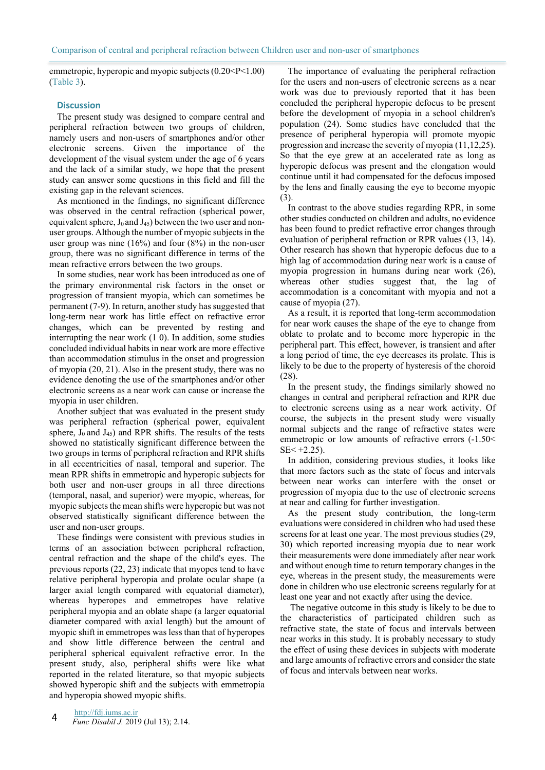emmetropic, hyperopic and myopic subjects (0.20<P<1.00) (Table 3).

### **Discussion**

The present study was designed to compare central and peripheral refraction between two groups of children, namely users and non-users of smartphones and/or other electronic screens. Given the importance of the development of the visual system under the age of 6 years and the lack of a similar study, we hope that the present study can answer some questions in this field and fill the existing gap in the relevant sciences.

As mentioned in the findings, no significant difference was observed in the central refraction (spherical power, equivalent sphere,  $J_0$  and  $J_{45}$ ) between the two user and nonuser groups. Although the number of myopic subjects in the user group was nine  $(16\%)$  and four  $(8\%)$  in the non-user group, there was no significant difference in terms of the mean refractive errors between the two groups.

In some studies, near work has been introduced as one of the primary environmental risk factors in the onset or progression of transient myopia, which can sometimes be permanent (7-9). In return, another study has suggested that long-term near work has little effect on refractive error changes, which can be prevented by resting and interrupting the near work (1 0). In addition, some studies concluded individual habits in near work are more effective than accommodation stimulus in the onset and progression of myopia (20, 21). Also in the present study, there was no evidence denoting the use of the smartphones and/or other electronic screens as a near work can cause or increase the myopia in user children.

Another subject that was evaluated in the present study was peripheral refraction (spherical power, equivalent sphere,  $J_0$  and  $J_{45}$ ) and RPR shifts. The results of the tests showed no statistically significant difference between the two groups in terms of peripheral refraction and RPR shifts in all eccentricities of nasal, temporal and superior. The mean RPR shifts in emmetropic and hyperopic subjects for both user and non-user groups in all three directions (temporal, nasal, and superior) were myopic, whereas, for myopic subjects the mean shifts were hyperopic but was not observed statistically significant difference between the user and non-user groups.

These findings were consistent with previous studies in terms of an association between peripheral refraction, central refraction and the shape of the child's eyes. The previous reports (22, 23) indicate that myopes tend to have relative peripheral hyperopia and prolate ocular shape (a larger axial length compared with equatorial diameter), whereas hyperopes and emmetropes have relative peripheral myopia and an oblate shape (a larger equatorial diameter compared with axial length) but the amount of myopic shift in emmetropes was less than that of hyperopes and show little difference between the central and peripheral spherical equivalent refractive error. In the present study, also, peripheral shifts were like what reported in the related literature, so that myopic subjects showed hyperopic shift and the subjects with emmetropia and hyperopia showed myopic shifts.

The importance of evaluating the peripheral refraction for the users and non-users of electronic screens as a near work was due to previously reported that it has been concluded the peripheral hyperopic defocus to be present before the development of myopia in a school children's population (24). Some studies have concluded that the presence of peripheral hyperopia will promote myopic progression and increase the severity of myopia (11,12,25). So that the eye grew at an accelerated rate as long as hyperopic defocus was present and the elongation would continue until it had compensated for the defocus imposed by the lens and finally causing the eye to become myopic (3).

In contrast to the above studies regarding RPR, in some other studies conducted on children and adults, no evidence has been found to predict refractive error changes through evaluation of peripheral refraction or RPR values (13, 14). Other research has shown that hyperopic defocus due to a high lag of accommodation during near work is a cause of myopia progression in humans during near work (26), whereas other studies suggest that, the lag of accommodation is a concomitant with myopia and not a cause of myopia (27).

As a result, it is reported that long-term accommodation for near work causes the shape of the eye to change from oblate to prolate and to become more hyperopic in the peripheral part. This effect, however, is transient and after a long period of time, the eye decreases its prolate. This is likely to be due to the property of hysteresis of the choroid (28).

In the present study, the findings similarly showed no changes in central and peripheral refraction and RPR due to electronic screens using as a near work activity. Of course, the subjects in the present study were visually normal subjects and the range of refractive states were emmetropic or low amounts of refractive errors  $(-1.50<$  $SE < +2.25$ ).

In addition, considering previous studies, it looks like that more factors such as the state of focus and intervals between near works can interfere with the onset or progression of myopia due to the use of electronic screens at near and calling for further investigation.

As the present study contribution, the long-term evaluations were considered in children who had used these screens for at least one year. The most previous studies (29, 30) which reported increasing myopia due to near work their measurements were done immediately after near work and without enough time to return temporary changes in the eye, whereas in the present study, the measurements were done in children who use electronic screens regularly for at least one year and not exactly after using the device.

 The negative outcome in this study is likely to be due to the characteristics of participated children such as refractive state, the state of focus and intervals between near works in this study. It is probably necessary to study the effect of using these devices in subjects with moderate and large amounts of refractive errors and consider the state of focus and intervals between near works.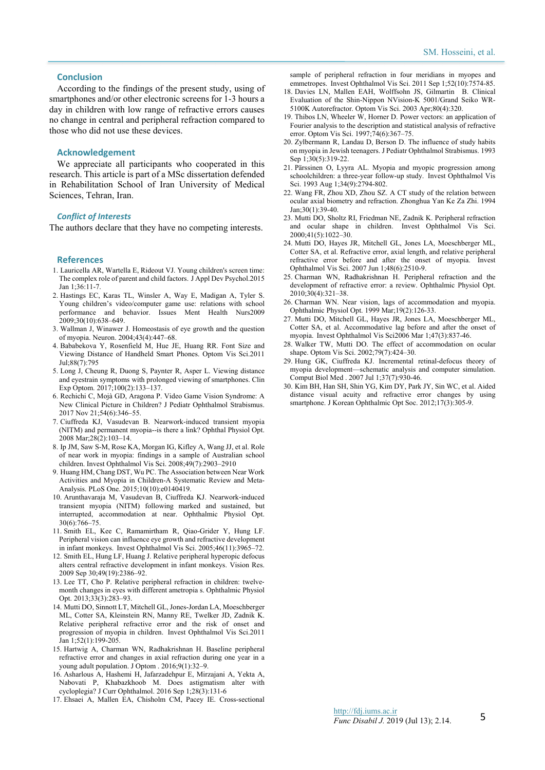#### **Conclusion**

According to the findings of the present study, using of smartphones and/or other electronic screens for 1-3 hours a day in children with low range of refractive errors causes no change in central and peripheral refraction compared to those who did not use these devices.

#### **Acknowledgement**

We appreciate all participants who cooperated in this research. This article is part of a MSc dissertation defended in Rehabilitation School of Iran University of Medical Sciences, Tehran, Iran.

#### *Conflict of Interests*

The authors declare that they have no competing interests.

#### **References**

- 1. Lauricella AR, Wartella E, Rideout VJ. Young children's screen time: The complex role of parent and child factors. J Appl Dev Psychol.2015 Jan 1;36:11-7.
- 2. Hastings EC, Karas TL, Winsler A, Way E, Madigan A, Tyler S. Young children's video/computer game use: relations with school performance and behavior. Issues Ment Health Nurs2009 2009;30(10):638–649.
- 3. Wallman J, Winawer J. Homeostasis of eye growth and the question of myopia. Neuron. 2004;43(4):447–68.
- 4. Bababekova Y, Rosenfield M, Hue JE, Huang RR. Font Size and Viewing Distance of Handheld Smart Phones. Optom Vis Sci.2011 Jul;88(7):795
- 5. Long J, Cheung R, Duong S, Paynter R, Asper L. Viewing distance and eyestrain symptoms with prolonged viewing of smartphones. Clin Exp Optom. 2017;100(2):133–137.
- 6. Rechichi C, Mojà GD, Aragona P. Video Game Vision Syndrome: A New Clinical Picture in Children? J Pediatr Ophthalmol Strabismus. 2017 Nov 21;54(6):346–55.
- 7. Ciuffreda KJ, Vasudevan B. Nearwork-induced transient myopia (NITM) and permanent myopia--is there a link? Ophthal Physiol Opt. 2008 Mar;28(2):103–14.
- 8. Ip JM, Saw S-M, Rose KA, Morgan IG, Kifley A, Wang JJ, et al. Role of near work in myopia: findings in a sample of Australian school children. Invest Ophthalmol Vis Sci. 2008;49(7):2903–2910
- 9. Huang HM, Chang DST, Wu PC. The Association between Near Work Activities and Myopia in Children-A Systematic Review and Meta-Analysis. PLoS One. 2015;10(10):e0140419.
- 10. Arunthavaraja M, Vasudevan B, Ciuffreda KJ. Nearwork‐induced transient myopia (NITM) following marked and sustained, but interrupted, accommodation at near. Ophthalmic Physiol Opt. 30(6):766–75.
- 11. Smith EL, Kee C, Ramamirtham R, Qiao-Grider Y, Hung LF. Peripheral vision can influence eye growth and refractive development in infant monkeys. Invest Ophthalmol Vis Sci. 2005;46(11):3965–72.
- 12. Smith EL, Hung LF, Huang J. Relative peripheral hyperopic defocus alters central refractive development in infant monkeys. Vision Res. 2009 Sep 30;49(19):2386–92.
- 13. Lee TT, Cho P. Relative peripheral refraction in children: twelvemonth changes in eyes with different ametropia s. Ophthalmic Physiol Opt. 2013;33(3):283–93.
- 14. Mutti DO, Sinnott LT, Mitchell GL, Jones-Jordan LA, Moeschberger ML, Cotter SA, Kleinstein RN, Manny RE, Twelker JD, Zadnik K. Relative peripheral refractive error and the risk of onset and progression of myopia in children. Invest Ophthalmol Vis Sci.2011 Jan 1;52(1):199-205.
- 15. Hartwig A, Charman WN, Radhakrishnan H. Baseline peripheral refractive error and changes in axial refraction during one year in a young adult population. J Optom . 2016;9(1):32–9.
- 16. Asharlous A, Hashemi H, Jafarzadehpur E, Mirzajani A, Yekta A, Nabovati P, Khabazkhoob M. Does astigmatism alter with cycloplegia? J Curr Ophthalmol. 2016 Sep 1;28(3):131-6
- 17. Ehsaei A, Mallen EA, Chisholm CM, Pacey IE. Cross-sectional

sample of peripheral refraction in four meridians in myopes and emmetropes. Invest Ophthalmol Vis Sci. 2011 Sep 1;52(10):7574-85.

- 18. Davies LN, Mallen EAH, Wolffsohn JS, Gilmartin B. Clinical Evaluation of the Shin-Nippon NVision-K 5001/Grand Seiko WR-5100K Autorefractor. Optom Vis Sci. 2003 Apr;80(4):320.
- 19. Thibos LN, Wheeler W, Horner D. Power vectors: an application of Fourier analysis to the description and statistical analysis of refractive error. Optom Vis Sci. 1997;74(6):367–75.
- 20. Zylbermann R, Landau D, Berson D. The influence of study habits on myopia in Jewish teenagers. J Pediatr Ophthalmol Strabismus. 1993 Sep 1:30(5):319-22.
- 21. Pärssinen O, Lyyra AL. Myopia and myopic progression among schoolchildren: a three-year follow-up study. Invest Ophthalmol Vis Sci. 1993 Aug 1;34(9):2794-802.
- 22. Wang FR, Zhou XD, Zhou SZ. A CT study of the relation between ocular axial biometry and refraction. Zhonghua Yan Ke Za Zhi. 1994 Jan;30(1):39-40.
- 23. Mutti DO, Sholtz RI, Friedman NE, Zadnik K. Peripheral refraction and ocular shape in children. Invest Ophthalmol Vis Sci. 2000;41(5):1022–30.
- 24. Mutti DO, Hayes JR, Mitchell GL, Jones LA, Moeschberger ML, Cotter SA, et al. Refractive error, axial length, and relative peripheral refractive error before and after the onset of myopia. Invest Ophthalmol Vis Sci. 2007 Jun 1;48(6):2510-9.
- 25. Charman WN, Radhakrishnan H. Peripheral refraction and the development of refractive error: a review. Ophthalmic Physiol Opt. 2010;30(4):321–38.
- 26. Charman WN. Near vision, lags of accommodation and myopia. Ophthalmic Physiol Opt. 1999 Mar;19(2):126-33.
- 27. Mutti DO, Mitchell GL, Hayes JR, Jones LA, Moeschberger ML, Cotter SA, et al. Accommodative lag before and after the onset of myopia. Invest Ophthalmol Vis Sci2006 Mar 1;47(3):837-46.
- 28. Walker TW, Mutti DO. The effect of accommodation on ocular shape. Optom Vis Sci. 2002;79(7):424–30.
- 29. Hung GK, Ciuffreda KJ. Incremental retinal-defocus theory of myopia development—schematic analysis and computer simulation. Comput Biol Med . 2007 Jul 1;37(7):930-46.
- 30. Kim BH, Han SH, Shin YG, Kim DY, Park JY, Sin WC, et al. Aided distance visual acuity and refractive error changes by using smartphone. J Korean Ophthalmic Opt Soc. 2012;17(3):305-9.